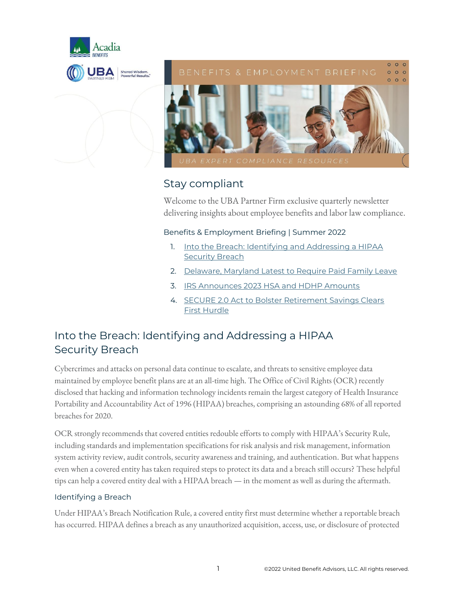

## $000$

 $000$ 



## Stay compliant

Welcome to the UBA Partner Firm exclusive quarterly newsletter delivering insights about employee benefits and labor law compliance.

## Benefits & Employment Briefing | Summer 2022

- 1. [Into the Breach: Identifying and Addressing a HIPAA](#page-0-0)  **[Security Breach](#page-0-0)**
- 2. [Delaware, Maryland Latest to Require Paid Family Leave](#page-2-0)
- 3. [IRS Announces 2023 HSA and HDHP Amounts](#page-4-0)
- 4. [SECURE 2.0 Act to Bolster Retirement Savings Clears](#page-5-0)  First [Hurdle](#page-5-0)

# <span id="page-0-0"></span>Into the Breach: Identifying and Addressing a HIPAA Security Breach

Cybercrimes and attacks on personal data continue to escalate, and threats to sensitive employee data maintained by employee benefit plans are at an all-time high. The Office of Civil Rights (OCR) recently disclosed that hacking and information technology incidents remain the largest category of Health Insurance Portability and Accountability Act of 1996 (HIPAA) breaches, comprising an astounding 68% of all reported breaches for 2020.

OCR strongly recommends that covered entities redouble efforts to comply with HIPAA's Security Rule, including standards and implementation specifications for risk analysis and risk management, information system activity review, audit controls, security awareness and training, and authentication. But what happens even when a covered entity has taken required steps to protect its data and a breach still occurs? These helpful tips can help a covered entity deal with a HIPAA breach — in the moment as well as during the aftermath.

## Identifying a Breach

Under HIPAA's Breach Notification Rule, a covered entity first must determine whether a reportable breach has occurred. HIPAA defines a breach as any unauthorized acquisition, access, use, or disclosure of protected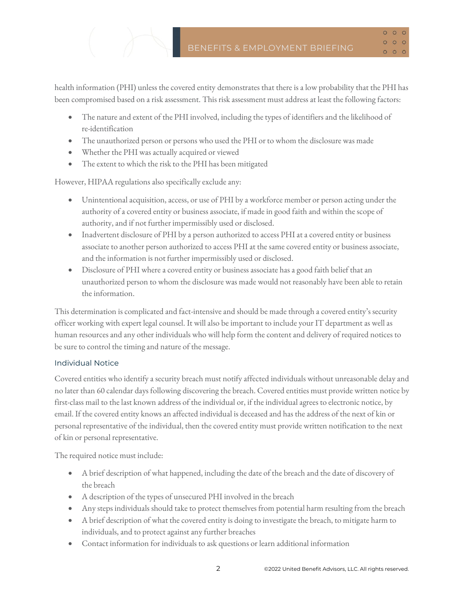$0<sub>0</sub>$  $000$  $\begin{array}{ccc} & \circ & \circ & \circ \end{array}$ 

health information (PHI) unless the covered entity demonstrates that there is a low probability that the PHI has been compromised based on a risk assessment. This risk assessment must address at least the following factors:

- The nature and extent of the PHI involved, including the types of identifiers and the likelihood of re-identification
- The unauthorized person or persons who used the PHI or to whom the disclosure was made
- Whether the PHI was actually acquired or viewed
- The extent to which the risk to the PHI has been mitigated

However, HIPAA regulations also specifically exclude any:

- Unintentional acquisition, access, or use of PHI by a workforce member or person acting under the authority of a covered entity or business associate, if made in good faith and within the scope of authority, and if not further impermissibly used or disclosed.
- Inadvertent disclosure of PHI by a person authorized to access PHI at a covered entity or business associate to another person authorized to access PHI at the same covered entity or business associate, and the information is not further impermissibly used or disclosed.
- Disclosure of PHI where a covered entity or business associate has a good faith belief that an unauthorized person to whom the disclosure was made would not reasonably have been able to retain the information.

This determination is complicated and fact-intensive and should be made through a covered entity's security officer working with expert legal counsel. It will also be important to include your IT department as well as human resources and any other individuals who will help form the content and delivery of required notices to be sure to control the timing and nature of the message.

#### Individual Notice

Covered entities who identify a security breach must notify affected individuals without unreasonable delay and no later than 60 calendar days following discovering the breach. Covered entities must provide written notice by first-class mail to the last known address of the individual or, if the individual agrees to electronic notice, by email. If the covered entity knows an affected individual is deceased and has the address of the next of kin or personal representative of the individual, then the covered entity must provide written notification to the next of kin or personal representative.

The required notice must include:

- A brief description of what happened, including the date of the breach and the date of discovery of the breach
- A description of the types of unsecured PHI involved in the breach
- Any steps individuals should take to protect themselves from potential harm resulting from the breach
- A brief description of what the covered entity is doing to investigate the breach, to mitigate harm to individuals, and to protect against any further breaches
- Contact information for individuals to ask questions or learn additional information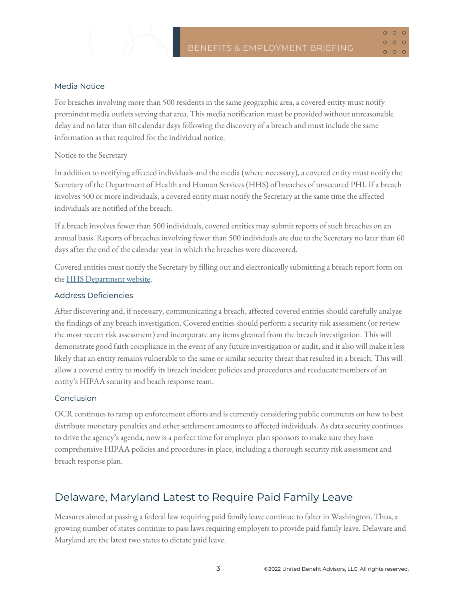#### Media Notice

For breaches involving more than 500 residents in the same geographic area, a covered entity must notify prominent media outlets serving that area. This media notification must be provided without unreasonable delay and no later than 60 calendar days following the discovery of a breach and must include the same information as that required for the individual notice.

#### Notice to the Secretary

In addition to notifying affected individuals and the media (where necessary), a covered entity must notify the Secretary of the Department of Health and Human Services (HHS) of breaches of unsecured PHI. If a breach involves 500 or more individuals, a covered entity must notify the Secretary at the same time the affected individuals are notified of the breach.

If a breach involves fewer than 500 individuals, covered entities may submit reports of such breaches on an annual basis. Reports of breaches involving fewer than 500 individuals are due to the Secretary no later than 60 days after the end of the calendar year in which the breaches were discovered.

Covered entities must notify the Secretary by filling outand electronically submitting a breach report form on th[e HHS Department website.](http://www.hhs.gov/ocr/privacy/hipaa/administrative/breachnotificationrule/brinstruction.html)

#### Address Deficiencies

After discovering and, if necessary, communicating a breach, affected covered entities should carefully analyze the findings of any breach investigation. Covered entities should perform a security risk assessment (or review the most recent risk assessment) and incorporate any items gleaned from the breach investigation. This will demonstrate good faith compliance in the event of any future investigation or audit, and it also will make it less likely that an entity remains vulnerable to the same or similar security threat that resulted in a breach. This will allow a covered entity to modify its breach incident policies and procedures and reeducate members of an entity's HIPAA security and beach response team.

#### Conclusion

OCR continues to ramp up enforcement efforts and is currently considering public comments on how to best distribute monetary penalties and other settlement amounts to affected individuals. As data security continues to drive the agency's agenda, now is a perfect time for employer plan sponsors to make sure they have comprehensive HIPAA policies and procedures in place, including a thorough security risk assessment and breach response plan.

## <span id="page-2-0"></span>Delaware, Maryland Latest to Require Paid Family Leave

Measures aimed at passing a federal law requiring paid family leave continue to falter in Washington. Thus, a growing number of states continue to pass laws requiring employers to provide paid family leave. Delaware and Maryland are the latest two states to dictate paid leave.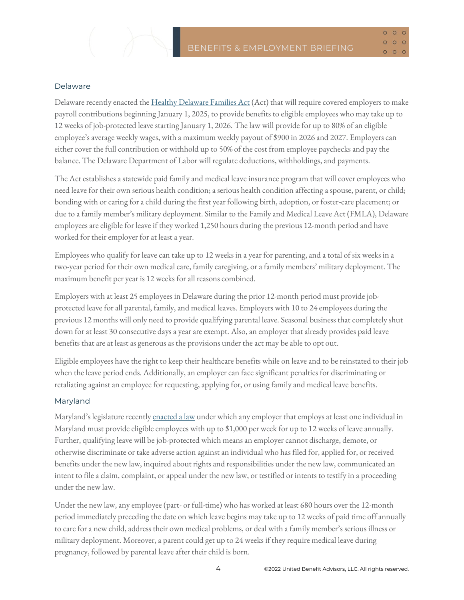$000$  $000$  $\begin{array}{ccc} & \circ & \circ & \circ \end{array}$ 

#### Delaware

Delaware recently enacted th[e Healthy Delaware Families Act](https://legis.delaware.gov/BillDetail/79186) (Act) that will require covered employers to make payroll contributions beginning January 1, 2025, to provide benefits to eligible employees who may take up to 12 weeks of job-protected leave starting January 1, 2026. The law will provide for up to 80% of an eligible employee's average weekly wages, with a maximum weekly payout of \$900 in 2026 and 2027. Employers can either cover the full contribution or withhold up to 50% of the cost from employee paychecks and pay the balance. The Delaware Department of Labor will regulate deductions, withholdings, and payments.

The Act establishes a statewide paid family and medical leave insurance program that will cover employees who need leave for their own serious health condition; a serious health condition affecting a spouse, parent, or child; bonding with or caring for a child during the first year following birth, adoption, or foster-care placement; or due to a family member's military deployment. Similar to the Family and Medical Leave Act (FMLA), Delaware employees are eligible for leave if they worked 1,250 hours during the previous 12-month period and have worked for their employer for at least a year.

Employees who qualify for leave can take up to 12 weeks in a year for parenting, and a total of six weeks in a two-year period for their own medical care, family caregiving, or a family members' military deployment. The maximum benefit per year is 12 weeks for all reasons combined.

Employers with at least 25 employees in Delaware during the prior 12-month period must provide jobprotected leave for all parental, family, and medical leaves. Employers with 10 to 24 employees during the previous 12 months will only need to provide qualifying parental leave. Seasonal business that completely shut down for at least 30 consecutive days a year are exempt. Also, an employer that already provides paid leave benefits that are at least as generous as the provisions under the act may be able to opt out.

Eligible employees have the right to keep their healthcare benefits while on leave and to be reinstated to their job when the leave period ends. Additionally, an employer can face significant penalties for discriminating or retaliating against an employee for requesting, applying for, or using family and medical leave benefits.

#### Maryland

Maryland's legislature recently [enacted a law](https://mgaleg.maryland.gov/mgawebsite/Legislation/Details/SB0275) under which any employer that employs at least one individual in Maryland must provide eligible employees with up to \$1,000 per week for up to 12 weeks of leave annually. Further, qualifying leave will be job-protected which means an employer cannot discharge, demote, or otherwise discriminate or take adverse action against an individual who has filed for, applied for, or received benefits under the new law, inquired about rights and responsibilities under the new law, communicated an intent to file a claim, complaint, or appeal under the new law, or testified or intents to testify in a proceeding under the new law.

Under the new law, any employee (part- or full-time) who has worked at least 680 hours over the 12-month period immediately preceding the date on which leave begins may take up to 12 weeks of paid time off annually to care for a new child, address their own medical problems, or deal with a family member's serious illness or military deployment. Moreover, a parent could get up to 24 weeks if they require medical leave during pregnancy, followed by parental leave after their child is born.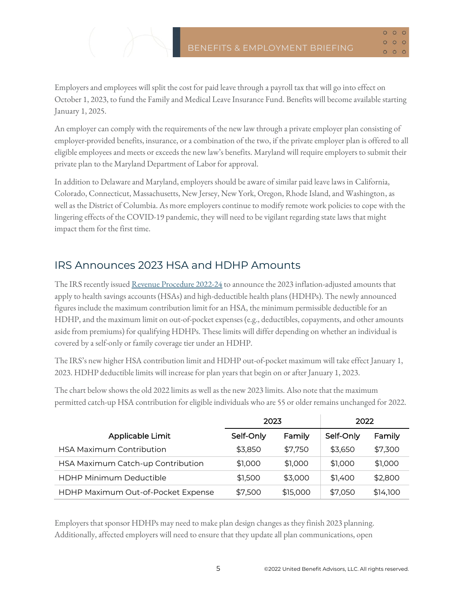$QQ$  $000$  $\begin{array}{ccc} & \circ & \circ & \circ \end{array}$ 

Employers and employees will split the cost for paid leave through a payroll tax that will go into effect on October 1, 2023, to fund the Family and Medical Leave Insurance Fund. Benefits will become available starting January 1, 2025.

An employer can comply with the requirements of the new law through a private employer plan consisting of employer-provided benefits, insurance, or a combination of the two, if the private employer plan is offered to all eligible employees and meets or exceeds the new law's benefits. Maryland will require employers to submit their private plan to the Maryland Department of Labor for approval.

In addition to Delaware and Maryland, employers should be aware of similar paid leave laws in California, Colorado, Connecticut, Massachusetts, New Jersey, New York, Oregon, Rhode Island, and Washington, as well as the District of Columbia. As more employers continue to modify remote work policies to cope with the lingering effects of the COVID-19 pandemic, they will need to be vigilant regarding state laws that might impact them for the first time.

## <span id="page-4-0"></span>IRS Announces 2023 HSA and HDHP Amounts

The IRS recently issue[d Revenue Procedure 2022-24](https://www.irs.gov/pub/irs-drop/rp-22-24.pdf) to announce the 2023 inflation-adjusted amounts that apply to health savings accounts (HSAs) and high-deductible health plans (HDHPs). The newly announced figures include the maximum contribution limit for an HSA, the minimum permissible deductible for an HDHP, and the maximum limit on out-of-pocket expenses (e.g., deductibles, copayments, and other amounts aside from premiums) for qualifying HDHPs. These limits will differ depending on whether an individual is covered by a self-only or family coverage tier under an HDHP.

The IRS's new higher HSA contribution limit and HDHP out-of-pocket maximum will take effect January 1, 2023. HDHP deductible limits will increase for plan years that begin on or after January 1, 2023.

The chart below shows the old 2022 limits as well as the new 2023 limits. Also note that the maximum permitted catch-up HSA contribution for eligible individuals who are 55 or older remains unchanged for 2022.

|                                    | 2023      |          | 2022      |          |
|------------------------------------|-----------|----------|-----------|----------|
| Applicable Limit                   | Self-Only | Family   | Self-Only | Family   |
| <b>HSA Maximum Contribution</b>    | \$3,850   | \$7,750  | \$3,650   | \$7,300  |
| HSA Maximum Catch-up Contribution  | \$1,000   | \$1,000  | \$1,000   | \$1,000  |
| <b>HDHP Minimum Deductible</b>     | \$1,500   | \$3,000  | \$1,400   | \$2,800  |
| HDHP Maximum Out-of-Pocket Expense | \$7,500   | \$15,000 | \$7,050   | \$14,100 |

Employers that sponsor HDHPs may need to make plan design changes as they finish 2023 planning. Additionally, affected employers will need to ensure that they update all plan communications, open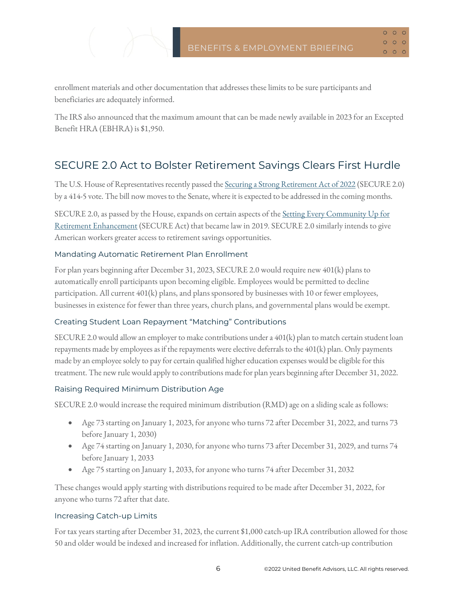$000$  $000$  $000$ 

enrollment materials and other documentation that addresses these limits to be sure participants and beneficiaries are adequately informed.

The IRS also announced that the maximum amount that can be made newly available in 2023 for an Excepted Benefit HRA (EBHRA) is \$1,950.

# <span id="page-5-0"></span>SECURE 2.0 Act to Bolster Retirement Savings Clears First Hurdle

The U.S. House of Representatives recently passed the [Securing a Strong Retirement Act of 2022](https://www.congress.gov/bill/117th-congress/house-bill/2954/text) (SECURE 2.0) by a 414-5 vote. The bill now moves to the Senate, where it is expected to be addressed in the coming months.

SECURE 2.0, as passed by the House, expands on certain aspects of the Setting Every Community Up for [Retirement Enhancement](https://www.congress.gov/116/plaws/publ94/PLAW-116publ94.pdf#page=605) (SECURE Act) that became law in 2019. SECURE 2.0 similarly intends to give American workers greater access to retirement savings opportunities.

## Mandating Automatic Retirement Plan Enrollment

For plan years beginning after December 31, 2023, SECURE 2.0 would require new 401(k) plans to automatically enroll participants upon becoming eligible. Employees would be permitted to decline participation. All current 401(k) plans, and plans sponsored by businesses with 10 or fewer employees, businesses in existence for fewer than three years, church plans, and governmental plans would be exempt.

## Creating Student Loan Repayment "Matching" Contributions

SECURE 2.0 would allow an employer to make contributions under a 401(k) plan to match certain student loan repayments made by employees as if the repayments were elective deferrals to the 401(k) plan. Only payments made by an employee solely to pay for certain qualified higher education expenses would be eligible for this treatment. The new rule would apply to contributions made for plan years beginning after December 31, 2022.

## Raising Required Minimum Distribution Age

SECURE 2.0 would increase the required minimum distribution (RMD) age on a sliding scale as follows:

- Age 73 starting on January 1, 2023, for anyone who turns 72 after December 31, 2022, and turns 73 before January 1, 2030)
- Age 74 starting on January 1, 2030, for anyone who turns 73 after December 31, 2029, and turns 74 before January 1, 2033
- Age 75 starting on January 1, 2033, for anyone who turns 74 after December 31, 2032

These changes would apply starting with distributions required to be made after December 31, 2022, for anyone who turns 72 after that date.

## Increasing Catch-up Limits

For tax years starting after December 31, 2023, the current \$1,000 catch-up IRA contribution allowed for those 50 and older would be indexed and increased for inflation. Additionally, the current catch-up contribution